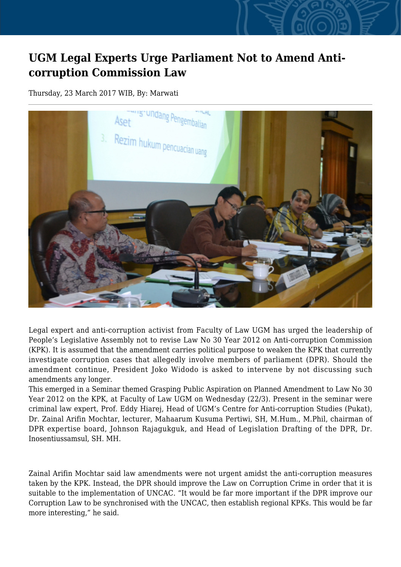## **UGM Legal Experts Urge Parliament Not to Amend Anticorruption Commission Law**

Thursday, 23 March 2017 WIB, By: Marwati



Legal expert and anti-corruption activist from Faculty of Law UGM has urged the leadership of People's Legislative Assembly not to revise Law No 30 Year 2012 on Anti-corruption Commission (KPK). It is assumed that the amendment carries political purpose to weaken the KPK that currently investigate corruption cases that allegedly involve members of parliament (DPR). Should the amendment continue, President Joko Widodo is asked to intervene by not discussing such amendments any longer.

This emerged in a Seminar themed Grasping Public Aspiration on Planned Amendment to Law No 30 Year 2012 on the KPK, at Faculty of Law UGM on Wednesday (22/3). Present in the seminar were criminal law expert, Prof. Eddy Hiarej, Head of UGM's Centre for Anti-corruption Studies (Pukat), Dr. Zainal Arifin Mochtar, lecturer, Mahaarum Kusuma Pertiwi, SH, M.Hum., M.Phil, chairman of DPR expertise board, Johnson Rajagukguk, and Head of Legislation Drafting of the DPR, Dr. Inosentiussamsul, SH. MH.

Zainal Arifin Mochtar said law amendments were not urgent amidst the anti-corruption measures taken by the KPK. Instead, the DPR should improve the Law on Corruption Crime in order that it is suitable to the implementation of UNCAC. "It would be far more important if the DPR improve our Corruption Law to be synchronised with the UNCAC, then establish regional KPKs. This would be far more interesting," he said.